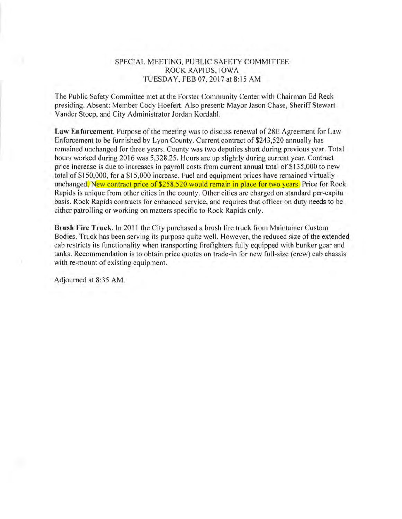## SPECIAL MEETING, PUBLIC SAFETY COMMITTEE ROCK RAPIDS, IOWA TUESDAY, FEB 07, 2017 at 8:15AM

The Public Safety Committee met at the Forster Community Center with Chairman Ed Reck presiding. Absent: Member Cody Hoefert. Also present: Mayor Jason Chase, Sheriff Stewart Vander Stoep, and City Administrator Jordan Kordahl.

**Law Enforcement.** Purpose of the meeting was to discuss renewal of 28E Agreement for Law Enforcement to be furnished by Lyon County. Current contract of \$243,520 annually has remained unchanged for three years. County was two deputies short during previous year. Total hours worked during 2016 was 5,328.25. Hours are up slightly during current year. Contract price increase is due to increases in payroll costs from current annual total of \$135,000 to new total of \$150,000, for a \$15,000 increase. Fuel and equipment prices have remained virtually unchanged. New contract price of \$258,520 would remain in place for two years. Price for Rock Rapids is unique from other cities in the county. Other cities are charged on standard per-capita basis. Rock Rapids contracts for enhanced service, and requires that officer on duty needs to be either patrolling or working on matters specific to Rock Rapids only.

**Brush Fire Truck.** In 2011 the City purchased a brush fire truck from Maintainer Custom Bodies. Truck has been serving its purpose quite well. However, the reduced size of the extended cab restricts its functionality when transporting firefighters fully equipped with bunker gear and tanks. Recommendation is to obtain price quotes on trade-in for new full-size (crew) cab chassis with re-mount of existing equipment.

Adjourned at 8:35 AM.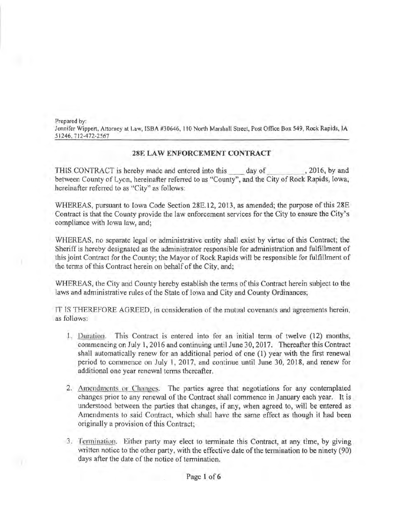Prepared by: Jennifer Wippert, Attorney at Law, ISBA #30646, 110 North Marshall Street, Post Office Box 549, Rock Rapids, IA 51246, 712-472-2567

## 28E LAW ENFORCEMENT CONTRACT

THIS CONTRACT is hereby made and entered into this day of . 2016, by and between County of Lyon, hereinafter referred to as "County", and the City of Rock Rapids, Iowa, hereinafter referred to as "City" as follows:

WHEREAS, pursuant to Iowa Code Section 28E.12, 2013, as amended; the purpose of this 28E Contract is that the County provide the law enforcement services for the City to ensure the City's compliance with Iowa law, and;

WHEREAS, no separate legal or administrative entity shall exist by virtue of this Contract; the Sheriff is hereby designated as the administrator responsible for administration and fulfillment of this joint Contract for the County; the Mayor of Rock Rapids will be responsible for fulfillment of the terms of this Contract herein on behalf of the City, and;

WHEREAS, the City and County hereby establish the terms of this Contract herein subject to the laws and administrative rules of the State of Iowa and City and County Ordinances;

IT IS THEREFORE AGREED, in consideration of the mutual covenants and agreements herein, as follows:

- .1. Duration. This Contract is entered into for an initial term of twelve (12) months, commencing on July 1, 2016 and continuing until June 30, 2017. Thereafter this Contract shall automatically renew for an additional period of one (1) year with the first renewal period to commence on July 1, 2017, and continue until June 30, 2018, and renew for additional one year renewal terms thereafter.
- 2. Amendments or Changes. The parties agree that negotiations for any contemplated changes prior to any renewal of the Contract shall commence in January each year. It is understood between the parties that changes, if any, when agreed to, will be entered as Amendments to said Contract, which shall have the same effect as though it had been originally a provision of this Contract;
- 3. Termination. Either party may elect to terminate this Contract, at any time, by giving written notice to the other party, with the effective date of the termination to be ninety (90) days after the date of the notice of termination.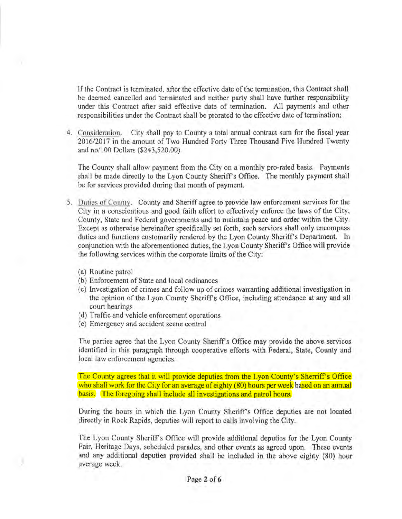If the Contract is terminated, after the effective date of the termination, this Contract shall be deemed cancelled and terminated and neither party shall have further responsibility under this Contract after said effective date of termination. All payments and other responsibilities under the Contract shall be prorated to the effective date of termination;

4. Consideration. City shall pay to County a total annual contract sum for the fiscal year 2016/2017 in the amount of Two Hundred Forty Three Thousand Five Hundred Twenty and no/100 Dollars (\$243,520.00).

The County shall allow payment from the City on a monthly pro-rated basis. Payments shall be made directly to the Lyon County Sheriff's Office. The monthly payment shall be for services provided during that month of payment.

- 5. Duties of 'ounty. County and Sheriff agree to provide law enforcement services for the City in a conscientious and good faith effort to effectively enforce the laws of the City, County, State and Federal governments and to maintain peace and order within the City. Except as otherwise hereinafter specifically set forth, such services shall only encompass duties and functions customarily rendered by the Lyon County Sheriff's Department. In conjunction with the aforementioned duties, the Lyon County Sheriff's Office will provide the following services within the corporate limits of the City:
	- (a) Routine patrol
	- (b) Enforcement of State and local ordinances
	- (c) Investigation of crimes and follow up of crimes warranting additional investigation in the opinion of the Lyon County Sheriff's Office, including attendance at any and all court hearings
	- (d) Traffic and vehicle enforcement operations
	- (e) Emergency and accident scene control

The parties agree that the Lyon County Sheriff's Office may provide the above services identified in this paragraph through cooperative efforts with Federal, State, County and local law enforcement agencies.

The County agrees that it will provide deputies from the Lyon County's Sherriff's Office who shall work for the City for an average of eighty (80) hours per week based on an annual basis. The foregoing shall include all investigations and patrol hours.

During the hours in which the Lyon County Sheriffs Office deputies are not located directly in Rock Rapids, deputies will report to calls involving the City.

The Lyon County Sheriff's Office will provide additional deputies for the Lyon County Fair, Heritage Days, scheduled parades, and other events as agreed upon. These events and any additional deputies provided shall be included in the above eighty (80) hour average week.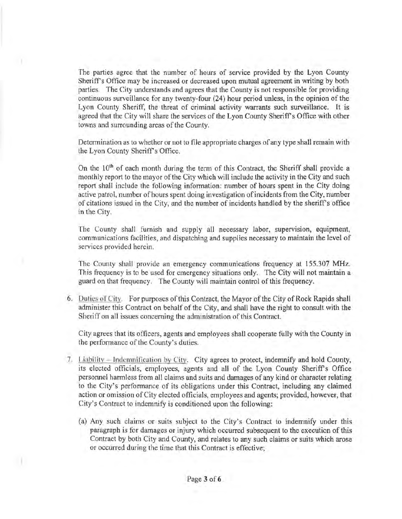The parties agree that the number of hours of service provided by the Lyon County Sheriff's Office may be increased or decreased upon mutual agreement in writing by both parties. The City understands and agrees that the County is not responsible for providing continuous surveillance for any twenty-four (24) hour period unless, in the opinion of the Lyon County Sheriff, the threat of criminal activity warrants such surveillance. It is agreed that the City will share the services of the Lyon County Sheriff's Office with other towns and surrounding areas of the County.

Determination as to whether or not to file appropriate charges of any type shall remain with the Lyon County Sheriff's Office.

On the 10<sup>th</sup> of each month during the term of this Contract, the Sheriff shall provide a monthly report to the mayor of the City which will include the activity in the City and such report shall include the following information: number of hours spent in the City doing active patrol, number ofhours spent doing investigation of incidents from the City, number of citations issued in the City, and the number of incidents handled by the sheriffs office in the City.

The County shall furnish and supply all necessary labor, supervision, equipment, communications facilities, and dispatching and supplies necessary to maintain the level of services provided herein.

The County shall provide an emergency communications frequency at 155.307 MHz. This frequency is to be used for emergency situations only. The City will not maintain a guard on that frequency. The County will maintain control of this frequency.

6. Duties or City. For purposes of this Contract, the Mayor of the City of Rock Rapids shall administer this Contract on behalf of the City, and shall have the right to consult with the Sheriff on all issues concerning the administration of this Contract.

City agrees that its officers, agents and employees shall cooperate fully with the County in the performance of the County's duties.

- 7. Liability Indemnification by City. City agrees to protect, indemnify and hold County, its elected officials, employees, agents and all of the Lyon County Sheriff's Office personnel harmless from all claims and suits and damages of any kind or character relating to the City's performance of its obligations under this Contract, including any claimed action or omission of City elected officials, employees and agents; provided, however, that City's Contract to indemnify is conditioned upon the following:
	- (a) Any such claims or suits subject to the City's Contract to indemnify under this paragraph is for damages or injury which occurred subsequent to the execution of this Contract by both City and County, and relates to any such claims or suits which arose or occurred during the time that this Contract is effective;

)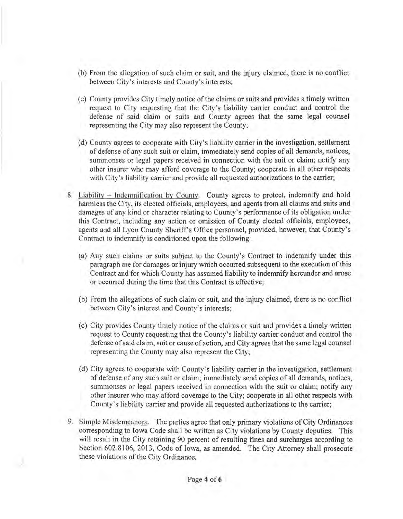- (b) From the allegation of such claim or suit, and the injury claimed, there is no conflict between City's interests and County's interests;
- (c) County provides City timely notice of the claims or suits and provides a timely written request to City requesting that the City's liability carrier conduct and control the defense of said claim or suits and County agrees that the same legal counsel representing the City may also represent the County;
- (d) County agrees to cooperate with City's liability carrier in the investigation, settlement of defense of any such suit or claim, immediately send copies of all demands, notices, summonses or legal papers received in connection with the suit or claim; notify any other insurer who may afford coverage to the County; cooperate in all other respects with City's liability carrier and provide all requested authorizations to the carrier;
- 8. Liability Indemnification by County. County agrees to protect, indemnify and hold harmless the City, its elected officials, employees, and agents from all claims and suits and damages of any kind or character relating to County's performance of its obligation under this Contract, including any action or omission of County elected officials, employees, agents and all Lyon County Sheriffs Office personnel, provided, however, that County's Contract to indemnify is conditioned upon the following:
	- (a) Any such claims or suits subject to the County's Contract to indemnify under this paragraph are for damages or injury which occurred subsequent to the execution of this Contract and for which County has assumed liability to indemnify hereunder and arose or occurred during the time that this Contract is effective;
	- (b) From the allegations of such claim or suit, and the injury claimed, there is no conflict between City's interest and County's interests;
	- (c) City provides County timely notice of the claims or suit and provides a timely written request to County requesting that the County's liability carrier conduct and control the defense of said claim, suit or cause of action, and City agrees that the same legal counsel representing the County may also represent the City;
	- (d) City agrees to cooperate with County's liability carrier in the investigation, settlement of defense of any such suit or claim; immediately send copies of all demands, notices, summonses or legal papers received in connection with the suit or claim; notify any other insurer who may afford coverage to the City; cooperate in all other respects with County's liability carrier and provide all requested authorizations to the carrier;
- 9. Simple Misdemeanors. The parties agree that only primary violations of City Ordinances corresponding to Iowa Code shall be written as City violations by County deputies. This will result in the City retaining 90 percent of resulting fines and surcharges according to Section 602.8106, 2013, Code of Iowa, as amended. The City Attorney shall prosecute these violations of the City Ordinance.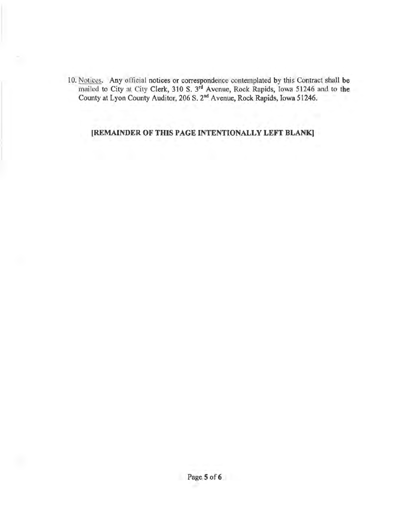10. Notices. Any official notices or correspondence contemplated by this Contract shall be mailed to City at City Clerk, 310 S. 3rd Avenue, Rock Rapids, Iowa 51246 and to **the**  County at Lyon County Auditor, 206 S. 2"d A venue, Rock Rapids, Iowa 51246.

**[REMAINDER OF THIS PAGE INTENTIONALLY LEFT BLANK]**